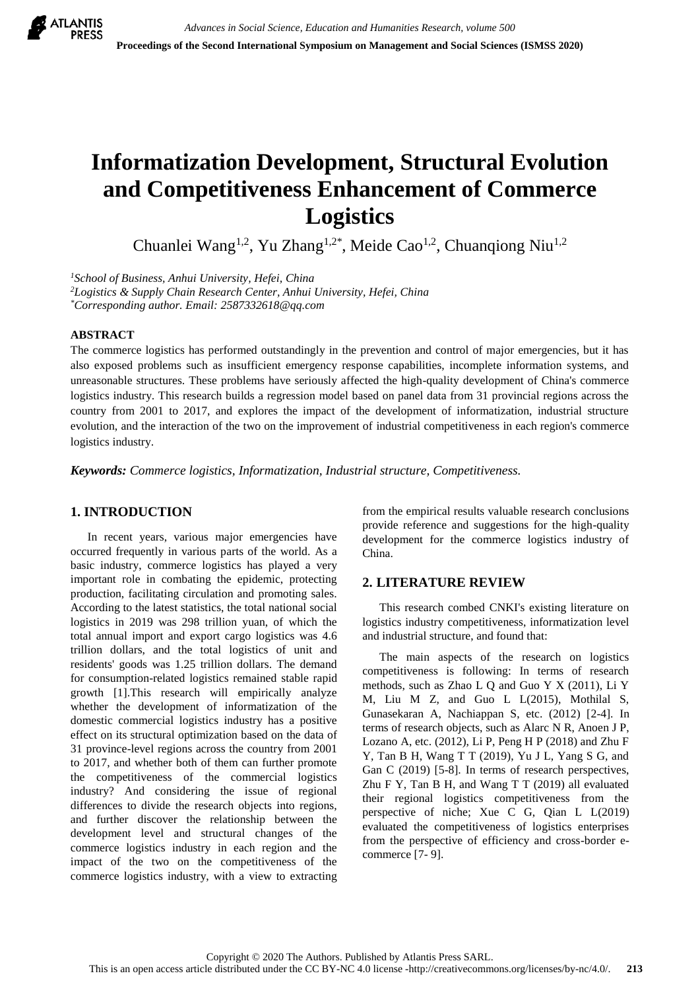

# **Informatization Development, Structural Evolution and Competitiveness Enhancement of Commerce Logistics**

Chuanlei Wang<sup>1,2</sup>, Yu Zhang<sup>1,2\*</sup>, Meide Cao<sup>1,2</sup>, Chuanqiong Niu<sup>1,2</sup>

*<sup>1</sup>School of Business, Anhui University, Hefei, China*

*<sup>2</sup>Logistics & Supply Chain Research Center, Anhui University, Hefei, China \*Corresponding author. Email[: 2587332618@qq.com](mailto:2587332618@qq.com)*

# **ABSTRACT**

The commerce logistics has performed outstandingly in the prevention and control of major emergencies, but it has also exposed problems such as insufficient emergency response capabilities, incomplete information systems, and unreasonable structures. These problems have seriously affected the high-quality development of China's commerce logistics industry. This research builds a regression model based on panel data from 31 provincial regions across the country from 2001 to 2017, and explores the impact of the development of informatization, industrial structure evolution, and the interaction of the two on the improvement of industrial competitiveness in each region's commerce logistics industry.

*Keywords: Commerce logistics, Informatization, Industrial structure, Competitiveness.*

# **1. INTRODUCTION**

In recent years, various major emergencies have occurred frequently in various parts of the world. As a basic industry, commerce logistics has played a very important role in combating the epidemic, protecting production, facilitating circulation and promoting sales. According to the latest statistics, the total national social logistics in 2019 was 298 trillion yuan, of which the total annual import and export cargo logistics was 4.6 trillion dollars, and the total logistics of unit and residents' goods was 1.25 trillion dollars. The demand for consumption-related logistics remained stable rapid growth [1].This research will empirically analyze whether the development of informatization of the domestic commercial logistics industry has a positive effect on its structural optimization based on the data of 31 province-level regions across the country from 2001 to 2017, and whether both of them can further promote the competitiveness of the commercial logistics industry? And considering the issue of regional differences to divide the research objects into regions, and further discover the relationship between the development level and structural changes of the commerce logistics industry in each region and the impact of the two on the competitiveness of the commerce logistics industry, with a view to extracting from the empirical results valuable research conclusions provide reference and suggestions for the high-quality development for the commerce logistics industry of China.

#### **2. LITERATURE REVIEW**

This research combed CNKI's existing literature on logistics industry competitiveness, informatization level and industrial structure, and found that:

The main aspects of the research on logistics competitiveness is following: In terms of research methods, such as Zhao L Q and Guo Y X (2011), Li Y M, Liu M Z, and Guo L L(2015), Mothilal S, Gunasekaran A, Nachiappan S, etc. (2012) [2-4]. In terms of research objects, such as Alarc N R, Anoen J P, Lozano A, etc. (2012), Li P, Peng H P (2018) and Zhu F Y, Tan B H, Wang T T (2019), Yu J L, Yang S G, and Gan C (2019) [5-8]. In terms of research perspectives, Zhu F Y, Tan B H, and Wang T T (2019) all evaluated their regional logistics competitiveness from the perspective of niche; Xue C G, Qian L L(2019) evaluated the competitiveness of logistics enterprises from the perspective of efficiency and cross-border ecommerce [7- 9].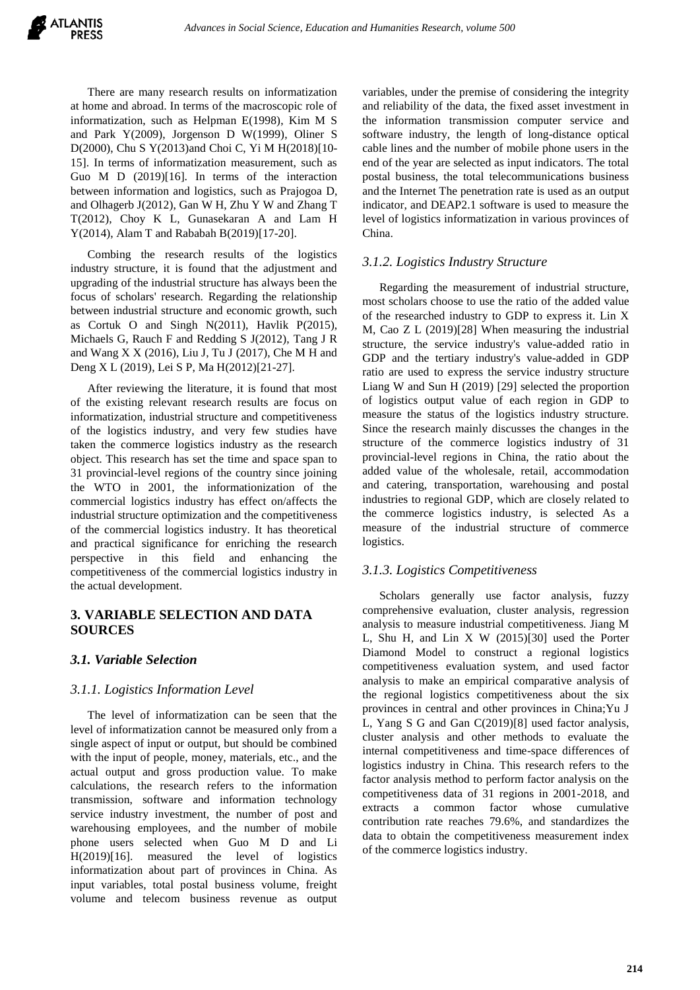There are many research results on informatization at home and abroad. In terms of the macroscopic role of informatization, such as Helpman E(1998), Kim M S and Park Y(2009), Jorgenson D W(1999), Oliner S D(2000), Chu S Y(2013)and Choi C, Yi M H(2018)[10- 15]. In terms of informatization measurement, such as Guo M D (2019)[16]. In terms of the interaction between information and logistics, such as Prajogoa D, and Olhagerb J(2012), Gan W H, Zhu Y W and Zhang T T(2012), Choy K L, Gunasekaran A and Lam H Y(2014), Alam T and Rababah B(2019)[17-20].

Combing the research results of the logistics industry structure, it is found that the adjustment and upgrading of the industrial structure has always been the focus of scholars' research. Regarding the relationship between industrial structure and economic growth, such as Cortuk O and Singh N(2011), Havlik P(2015), Michaels G, Rauch F and Redding S J(2012), Tang J R and Wang X X (2016), Liu J, Tu J (2017), Che M H and Deng X L (2019), Lei S P, Ma H(2012)[21-27].

After reviewing the literature, it is found that most of the existing relevant research results are focus on informatization, industrial structure and competitiveness of the logistics industry, and very few studies have taken the commerce logistics industry as the research object. This research has set the time and space span to 31 provincial-level regions of the country since joining the WTO in 2001, the informationization of the commercial logistics industry has effect on/affects the industrial structure optimization and the competitiveness of the commercial logistics industry. It has theoretical and practical significance for enriching the research perspective in this field and enhancing the competitiveness of the commercial logistics industry in the actual development.

# **3. VARIABLE SELECTION AND DATA SOURCES**

## *3.1. Variable Selection*

## *3.1.1. Logistics Information Level*

The level of informatization can be seen that the level of informatization cannot be measured only from a single aspect of input or output, but should be combined with the input of people, money, materials, etc., and the actual output and gross production value. To make calculations, the research refers to the information transmission, software and information technology service industry investment, the number of post and warehousing employees, and the number of mobile phone users selected when Guo M D and Li H(2019)[16]. measured the level of logistics informatization about part of provinces in China. As input variables, total postal business volume, freight volume and telecom business revenue as output

variables, under the premise of considering the integrity and reliability of the data, the fixed asset investment in the information transmission computer service and software industry, the length of long-distance optical cable lines and the number of mobile phone users in the end of the year are selected as input indicators. The total postal business, the total telecommunications business and the Internet The penetration rate is used as an output indicator, and DEAP2.1 software is used to measure the level of logistics informatization in various provinces of China.

## *3.1.2. Logistics Industry Structure*

Regarding the measurement of industrial structure, most scholars choose to use the ratio of the added value of the researched industry to GDP to express it. Lin X M, Cao Z L (2019)[28] When measuring the industrial structure, the service industry's value-added ratio in GDP and the tertiary industry's value-added in GDP ratio are used to express the service industry structure Liang W and Sun H (2019) [29] selected the proportion of logistics output value of each region in GDP to measure the status of the logistics industry structure. Since the research mainly discusses the changes in the structure of the commerce logistics industry of 31 provincial-level regions in China, the ratio about the added value of the wholesale, retail, accommodation and catering, transportation, warehousing and postal industries to regional GDP, which are closely related to the commerce logistics industry, is selected As a measure of the industrial structure of commerce logistics.

## *3.1.3. Logistics Competitiveness*

Scholars generally use factor analysis, fuzzy comprehensive evaluation, cluster analysis, regression analysis to measure industrial competitiveness. Jiang M L, Shu H, and Lin X W (2015)[30] used the Porter Diamond Model to construct a regional logistics competitiveness evaluation system, and used factor analysis to make an empirical comparative analysis of the regional logistics competitiveness about the six provinces in central and other provinces in China;Yu J L, Yang S G and Gan C(2019)[8] used factor analysis, cluster analysis and other methods to evaluate the internal competitiveness and time-space differences of logistics industry in China. This research refers to the factor analysis method to perform factor analysis on the competitiveness data of 31 regions in 2001-2018, and extracts a common factor whose cumulative contribution rate reaches 79.6%, and standardizes the data to obtain the competitiveness measurement index of the commerce logistics industry.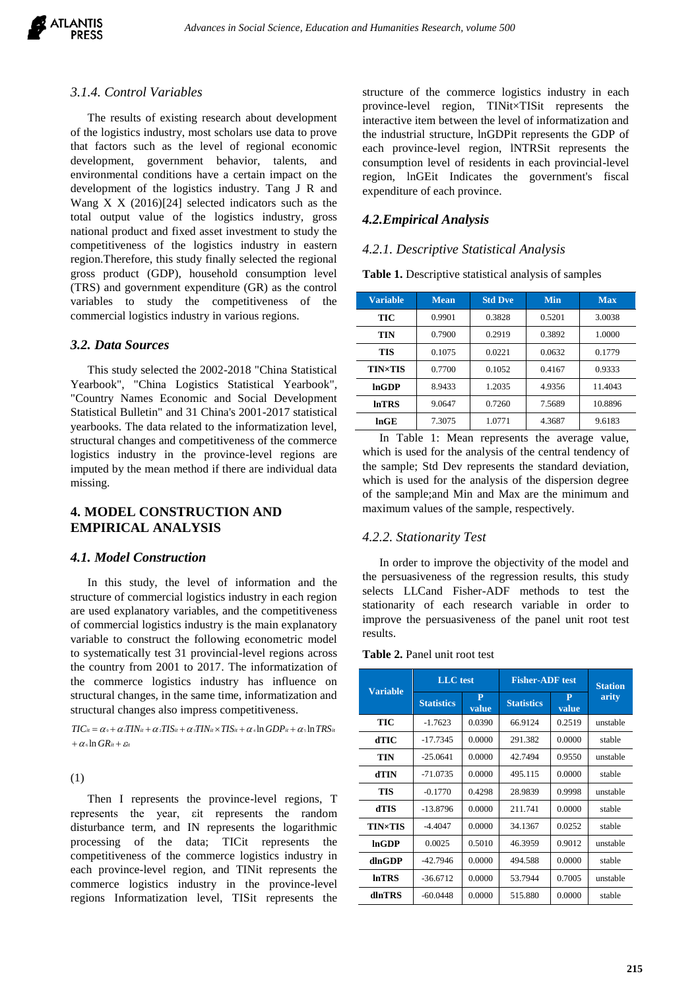

#### *3.1.4. Control Variables*

The results of existing research about development of the logistics industry, most scholars use data to prove that factors such as the level of regional economic development, government behavior, talents, and environmental conditions have a certain impact on the development of the logistics industry. Tang J R and Wang X X (2016)[24] selected indicators such as the total output value of the logistics industry, gross national product and fixed asset investment to study the competitiveness of the logistics industry in eastern region.Therefore, this study finally selected the regional gross product (GDP), household consumption level (TRS) and government expenditure (GR) as the control variables to study the competitiveness of the commercial logistics industry in various regions.

#### *3.2. Data Sources*

This study selected the 2002-2018 "China Statistical Yearbook", "China Logistics Statistical Yearbook", "Country Names Economic and Social Development Statistical Bulletin" and 31 China's 2001-2017 statistical yearbooks. The data related to the informatization level, structural changes and competitiveness of the commerce logistics industry in the province-level regions are imputed by the mean method if there are individual data missing.

# **4. MODEL CONSTRUCTION AND EMPIRICAL ANALYSIS**

#### *4.1. Model Construction*

In this study, the level of information and the structure of commercial logistics industry in each region are used explanatory variables, and the competitiveness of commercial logistics industry is the main explanatory variable to construct the following econometric model to systematically test 31 provincial-level regions across the country from 2001 to 2017. The informatization of the commerce logistics industry has influence on structural changes, in the same time, informatization and structural changes also impress competitiveness.

 $+\alpha$  s  $\ln{GR}$ it  $+\varepsilon$ it  $TIC_{it} = \alpha_0 + \alpha_1 TIN_{it} + \alpha_2 TIS_{it} + \alpha_3 TIN_{it} \times TIS_{it} + \alpha_4 \ln GDP_{it} + \alpha_5 \ln TRS_{it}$ 

(1)

Then I represents the province-level regions, T represents the year, εit represents the random disturbance term, and IN represents the logarithmic processing of the data; TICit represents the competitiveness of the commerce logistics industry in each province-level region, and TINit represents the commerce logistics industry in the province-level regions Informatization level, TISit represents the structure of the commerce logistics industry in each province-level region, TINit×TISit represents the interactive item between the level of informatization and the industrial structure, lnGDPit represents the GDP of each province-level region, lNTRSit represents the consumption level of residents in each provincial-level region, lnGEit Indicates the government's fiscal expenditure of each province.

#### *4.2.Empirical Analysis*

#### *4.2.1. Descriptive Statistical Analysis*

**Table 1.** Descriptive statistical analysis of samples

| <b>Variable</b> | <b>Mean</b> | <b>Std Dve</b> | <b>Min</b> | <b>Max</b> |  |
|-----------------|-------------|----------------|------------|------------|--|
| TIC             | 0.9901      | 0.3828         | 0.5201     | 3.0038     |  |
| TIN             | 0.7900      | 0.2919         | 0.3892     | 1.0000     |  |
| TIS             | 0.1075      | 0.0221         | 0.0632     | 0.1779     |  |
| <b>TIN×TIS</b>  | 0.7700      | 0.1052         | 0.4167     | 0.9333     |  |
| lnGDP           | 8.9433      | 1.2035         | 4.9356     | 11.4043    |  |
| <b>InTRS</b>    | 9.0647      | 0.7260         | 7.5689     | 10.8896    |  |
| $ln$ GE         | 7.3075      | 1.0771         | 4.3687     | 9.6183     |  |

In Table 1: Mean represents the average value, which is used for the analysis of the central tendency of the sample; Std Dev represents the standard deviation, which is used for the analysis of the dispersion degree of the sample;and Min and Max are the minimum and maximum values of the sample, respectively.

#### *4.2.2. Stationarity Test*

In order to improve the objectivity of the model and the persuasiveness of the regression results, this study selects LLCand Fisher-ADF methods to test the stationarity of each research variable in order to improve the persuasiveness of the panel unit root test results.

| <b>Table 2.</b> Panel unit root test |  |
|--------------------------------------|--|
|--------------------------------------|--|

| Variable       | LLC test          |                       | <b>Fisher-ADF</b> test | <b>Station</b> |          |
|----------------|-------------------|-----------------------|------------------------|----------------|----------|
|                | <b>Statistics</b> | $\mathbf{P}$<br>value | <b>Statistics</b>      | P<br>value     | arity    |
| TIC            | $-1.7623$         | 0.0390                | 66.9124                | 0.2519         | unstable |
| dTIC           | $-17.7345$        | 0.0000                | 291.382                | 0.0000         | stable   |
| TIN            | $-250641$         | 0.0000                | 42.7494                | 0.9550         | unstable |
| dTIN           | $-71.0735$        | 0.0000                | 495.115                | 0.0000         | stable   |
| TIS            | $-0.1770$         | 0.4298                | 28.9839                | 0.9998         | unstable |
| dTIS           | $-13.8796$        | 0.0000                | 211.741                | 0.0000         | stable   |
| <b>TIN×TIS</b> | $-44047$          | 0.0000                | 34.1367                | 0.0252         | stable   |
| <b>InGDP</b>   | 0.0025            | 0.5010                | 46.3959                | 0.9012         | unstable |
| dlnGDP         | $-42.7946$        | 0.0000                | 494.588                | 0.0000         | stable   |
| <b>InTRS</b>   | $-36.6712$        | 0.0000                | 53.7944                | 0.7005         | unstable |
| dlnTRS         | $-60.0448$        | 0.0000                | 515.880                | 0.0000         | stable   |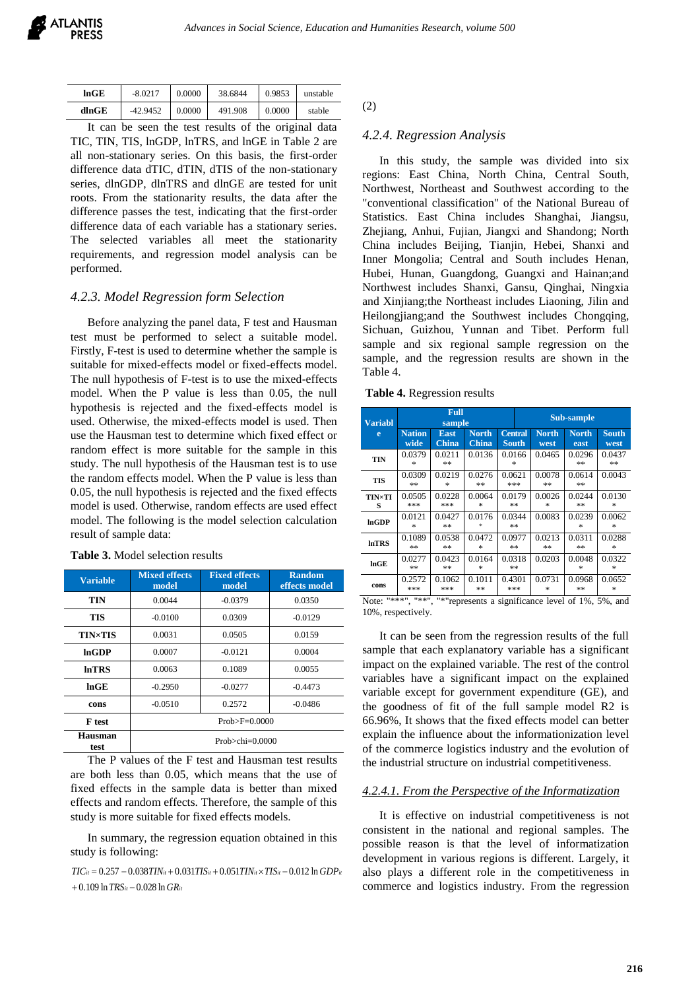| lnGE  | $-8.0217$  | 0.0000 | 38.6844 | 0.9853 | unstable |
|-------|------------|--------|---------|--------|----------|
| dlnGE | $-42.9452$ | 0.0000 | 491.908 | 0.0000 | stable   |

It can be seen the test results of the original data TIC, TIN, TIS, lnGDP, lnTRS, and lnGE in Table 2 are all non-stationary series. On this basis, the first-order difference data dTIC, dTIN, dTIS of the non-stationary series, dlnGDP, dlnTRS and dlnGE are tested for unit roots. From the stationarity results, the data after the difference passes the test, indicating that the first-order difference data of each variable has a stationary series. The selected variables all meet the stationarity requirements, and regression model analysis can be performed.

## *4.2.3. Model Regression form Selection*

Before analyzing the panel data, F test and Hausman test must be performed to select a suitable model. Firstly, F-test is used to determine whether the sample is suitable for mixed-effects model or fixed-effects model. The null hypothesis of F-test is to use the mixed-effects model. When the P value is less than 0.05, the null hypothesis is rejected and the fixed-effects model is used. Otherwise, the mixed-effects model is used. Then use the Hausman test to determine which fixed effect or random effect is more suitable for the sample in this study. The null hypothesis of the Hausman test is to use the random effects model. When the P value is less than 0.05, the null hypothesis is rejected and the fixed effects model is used. Otherwise, random effects are used effect model. The following is the model selection calculation result of sample data:

| <b>Variable</b> | <b>Mixed effects</b><br>model | <b>Fixed effects</b><br><b>Random</b><br>model<br>effects model |           |  |  |
|-----------------|-------------------------------|-----------------------------------------------------------------|-----------|--|--|
| <b>TIN</b>      | 0.0044                        | $-0.0379$                                                       | 0.0350    |  |  |
| TIS             | $-0.0100$                     | 0.0309<br>$-0.0129$                                             |           |  |  |
| <b>TIN×TIS</b>  | 0.0031                        | 0.0505                                                          | 0.0159    |  |  |
| <b>InGDP</b>    | 0.0007                        | $-0.0121$                                                       | 0.0004    |  |  |
| <b>InTRS</b>    | 0.0063                        | 0.1089<br>0.0055                                                |           |  |  |
| $ln$ GE         | $-0.2950$                     | $-0.0277$                                                       | $-0.4473$ |  |  |
| cons            | $-0.0510$                     | 0.2572                                                          | $-0.0486$ |  |  |
| <b>F</b> test   | $Prob > F = 0.0000$           |                                                                 |           |  |  |
| Hausman<br>test |                               | $Prob >chi=0.0000$                                              |           |  |  |

#### **Table 3.** Model selection results

The P values of the F test and Hausman test results are both less than 0.05, which means that the use of fixed effects in the sample data is better than mixed effects and random effects. Therefore, the sample of this study is more suitable for fixed effects models.

In summary, the regression equation obtained in this study is following:

 $+$  0.109 ln  $TRS_{it}$   $-$  0.028 ln  $GR_{it}$  $TIC_{it} = 0.257 - 0.038 TIN_{it} + 0.031 TIS_{it} + 0.051 TIN_{it} \times TIS_{it} - 0.012 \ln GDP_{it}$  (2)

#### *4.2.4. Regression Analysis*

In this study, the sample was divided into six regions: East China, North China, Central South, Northwest, Northeast and Southwest according to the "conventional classification" of the National Bureau of Statistics. East China includes Shanghai, Jiangsu, Zhejiang, Anhui, Fujian, Jiangxi and Shandong; North China includes Beijing, Tianjin, Hebei, Shanxi and Inner Mongolia; Central and South includes Henan, Hubei, Hunan, Guangdong, Guangxi and Hainan;and Northwest includes Shanxi, Gansu, Qinghai, Ningxia and Xinjiang;the Northeast includes Liaoning, Jilin and Heilongjiang;and the Southwest includes Chongqing, Sichuan, Guizhou, Yunnan and Tibet. Perform full sample and six regional sample regression on the sample, and the regression results are shown in the Table 4.

| Table 4. Regression results |  |  |  |
|-----------------------------|--|--|--|
|-----------------------------|--|--|--|

| <b>Variabl</b>                                                                                           | Full<br>sample        |                             |                       |                                | Sub-sample |                      |                      |                      |
|----------------------------------------------------------------------------------------------------------|-----------------------|-----------------------------|-----------------------|--------------------------------|------------|----------------------|----------------------|----------------------|
| e                                                                                                        | <b>Nation</b><br>wide | <b>East</b><br><b>China</b> | <b>North</b><br>China | <b>Central</b><br><b>South</b> |            | <b>North</b><br>west | <b>North</b><br>east | <b>South</b><br>west |
| TIN                                                                                                      | 0.0379<br>$\ast$      | 0.0211<br>**                | 0.0136                | 0.0166<br>$\ast$               |            | 0.0465               | 0.0296<br>**         | 0.0437<br>**         |
| <b>TIS</b>                                                                                               | 0.0309<br>**          | 0.0219<br>$\ast$            | 0.0276<br>**          | 0.0621<br>***                  |            | 0.0078<br>**         | 0.0614<br>**         | 0.0043               |
| <b>TIN×TI</b><br>s                                                                                       | 0.0505<br>***         | 0.0228<br>***               | 0.0064<br>*           | 0.0179<br>**                   |            | 0.0026<br>$\ast$     | 0.0244<br>**         | 0.0130<br>$\ast$     |
| lnGDP                                                                                                    | 0.0121<br>$\ast$      | 0.0427<br>**                | 0.0176                | 0.0344<br>**                   |            | 0.0083               | 0.0239<br>$\ast$     | 0.0062<br>$\ast$     |
| In <b>TRS</b>                                                                                            | 0.1089<br>$**$        | 0.0538<br>**                | 0.0472<br>$\ast$      | 0.0977<br>**                   |            | 0.0213<br>**         | 0.0311<br>**         | 0.0288<br>$\ast$     |
| lnGE                                                                                                     | 0.0277<br>**          | 0.0423<br>**                | 0.0164<br>*           | 0.0318<br>**                   |            | 0.0203               | 0.0048<br>$\ast$     | 0.0322<br>$\ast$     |
| cons                                                                                                     | 0.2572<br>***         | 0.1062<br>***               | 0.1011<br>**          | 0.4301<br>***                  |            | 0.0731<br>$\ast$     | 0.0968<br>**         | 0.0652<br>*          |
| "*"represents a significance level of 1%<br>#米米#<br>#米米米#<br>Note <sup>.</sup><br>50 <sub>6</sub><br>and |                       |                             |                       |                                |            |                      |                      |                      |

Note: "\*\*\*", "\*\*", "\*"represents a significance level of 1%, 5%, and 10%, respectively.

It can be seen from the regression results of the full sample that each explanatory variable has a significant impact on the explained variable. The rest of the control variables have a significant impact on the explained variable except for government expenditure (GE), and the goodness of fit of the full sample model R2 is 66.96%, It shows that the fixed effects model can better explain the influence about the informationization level of the commerce logistics industry and the evolution of the industrial structure on industrial competitiveness.

#### *4.2.4.1. From the Perspective of the Informatization*

It is effective on industrial competitiveness is not consistent in the national and regional samples. The possible reason is that the level of informatization development in various regions is different. Largely, it also plays a different role in the competitiveness in commerce and logistics industry. From the regression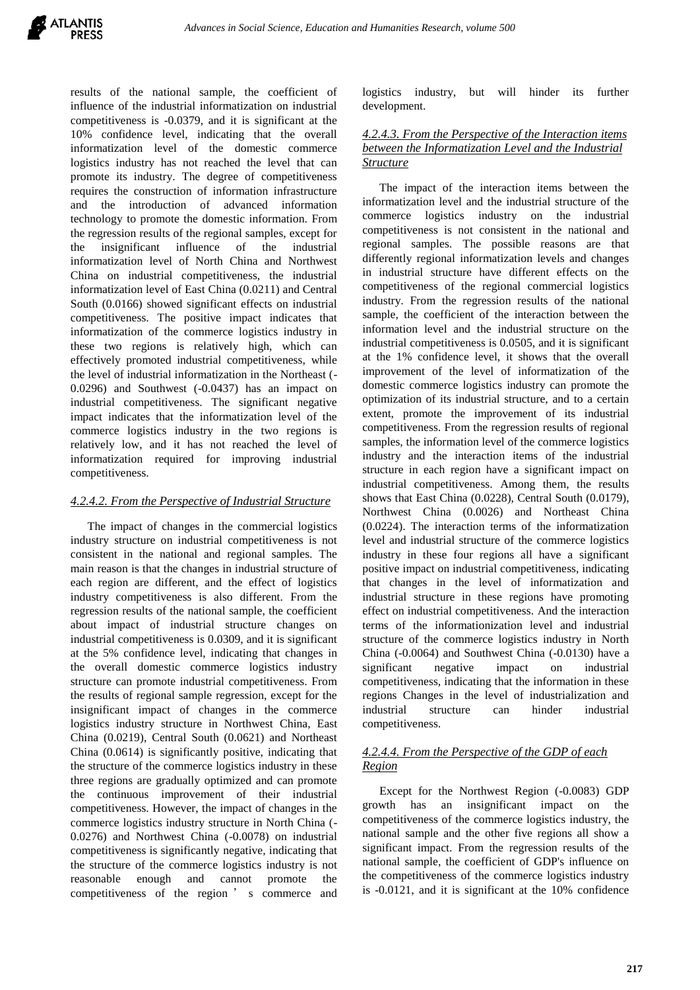

results of the national sample, the coefficient of influence of the industrial informatization on industrial competitiveness is -0.0379, and it is significant at the 10% confidence level, indicating that the overall informatization level of the domestic commerce logistics industry has not reached the level that can promote its industry. The degree of competitiveness requires the construction of information infrastructure and the introduction of advanced information technology to promote the domestic information. From the regression results of the regional samples, except for the insignificant influence of the industrial informatization level of North China and Northwest China on industrial competitiveness, the industrial informatization level of East China (0.0211) and Central South (0.0166) showed significant effects on industrial competitiveness. The positive impact indicates that informatization of the commerce logistics industry in these two regions is relatively high, which can effectively promoted industrial competitiveness, while the level of industrial informatization in the Northeast (- 0.0296) and Southwest (-0.0437) has an impact on industrial competitiveness. The significant negative impact indicates that the informatization level of the commerce logistics industry in the two regions is relatively low, and it has not reached the level of informatization required for improving industrial competitiveness.

## *4.2.4.2. From the Perspective of Industrial Structure*

The impact of changes in the commercial logistics industry structure on industrial competitiveness is not consistent in the national and regional samples. The main reason is that the changes in industrial structure of each region are different, and the effect of logistics industry competitiveness is also different. From the regression results of the national sample, the coefficient about impact of industrial structure changes on industrial competitiveness is 0.0309, and it is significant at the 5% confidence level, indicating that changes in the overall domestic commerce logistics industry structure can promote industrial competitiveness. From the results of regional sample regression, except for the insignificant impact of changes in the commerce logistics industry structure in Northwest China, East China (0.0219), Central South (0.0621) and Northeast China (0.0614) is significantly positive, indicating that the structure of the commerce logistics industry in these three regions are gradually optimized and can promote the continuous improvement of their industrial competitiveness. However, the impact of changes in the commerce logistics industry structure in North China (- 0.0276) and Northwest China (-0.0078) on industrial competitiveness is significantly negative, indicating that the structure of the commerce logistics industry is not reasonable enough and cannot promote the competitiveness of the region ' s commerce and logistics industry, but will hinder its further development.

## *4.2.4.3. From the Perspective of the Interaction items between the Informatization Level and the Industrial Structure*

The impact of the interaction items between the informatization level and the industrial structure of the commerce logistics industry on the industrial competitiveness is not consistent in the national and regional samples. The possible reasons are that differently regional informatization levels and changes in industrial structure have different effects on the competitiveness of the regional commercial logistics industry. From the regression results of the national sample, the coefficient of the interaction between the information level and the industrial structure on the industrial competitiveness is 0.0505, and it is significant at the 1% confidence level, it shows that the overall improvement of the level of informatization of the domestic commerce logistics industry can promote the optimization of its industrial structure, and to a certain extent, promote the improvement of its industrial competitiveness. From the regression results of regional samples, the information level of the commerce logistics industry and the interaction items of the industrial structure in each region have a significant impact on industrial competitiveness. Among them, the results shows that East China (0.0228), Central South (0.0179), Northwest China (0.0026) and Northeast China (0.0224). The interaction terms of the informatization level and industrial structure of the commerce logistics industry in these four regions all have a significant positive impact on industrial competitiveness, indicating that changes in the level of informatization and industrial structure in these regions have promoting effect on industrial competitiveness. And the interaction terms of the informationization level and industrial structure of the commerce logistics industry in North China (-0.0064) and Southwest China (-0.0130) have a significant negative impact on industrial competitiveness, indicating that the information in these regions Changes in the level of industrialization and industrial structure can hinder industrial competitiveness.

## *4.2.4.4. From the Perspective of the GDP of each Region*

Except for the Northwest Region (-0.0083) GDP growth has an insignificant impact on the competitiveness of the commerce logistics industry, the national sample and the other five regions all show a significant impact. From the regression results of the national sample, the coefficient of GDP's influence on the competitiveness of the commerce logistics industry is -0.0121, and it is significant at the 10% confidence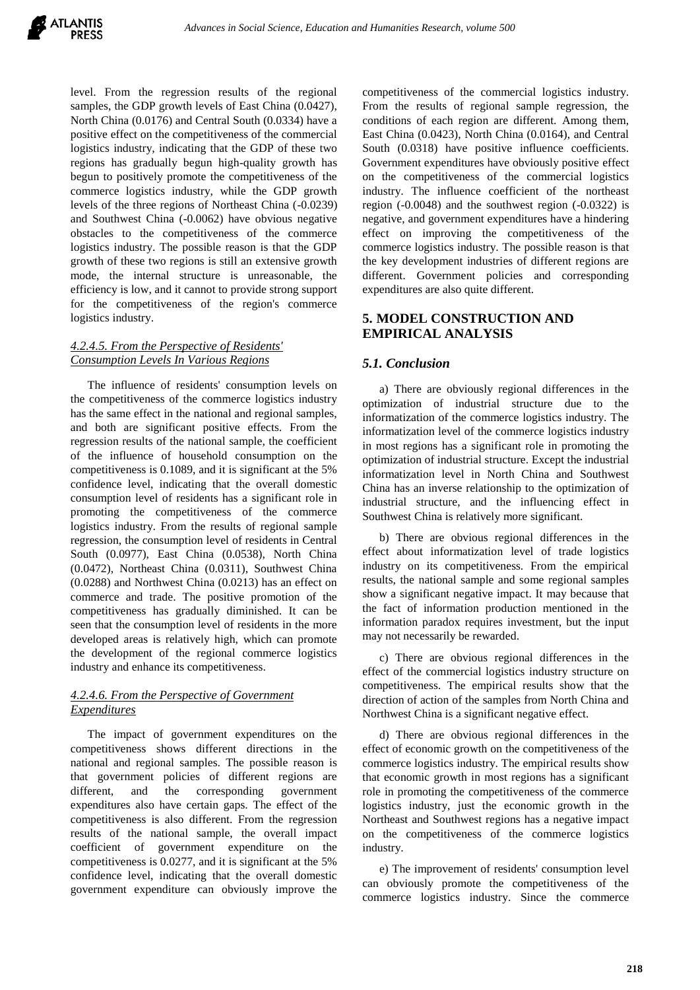level. From the regression results of the regional samples, the GDP growth levels of East China (0.0427), North China (0.0176) and Central South (0.0334) have a positive effect on the competitiveness of the commercial logistics industry, indicating that the GDP of these two regions has gradually begun high-quality growth has begun to positively promote the competitiveness of the commerce logistics industry, while the GDP growth levels of the three regions of Northeast China (-0.0239) and Southwest China (-0.0062) have obvious negative obstacles to the competitiveness of the commerce logistics industry. The possible reason is that the GDP growth of these two regions is still an extensive growth mode, the internal structure is unreasonable, the efficiency is low, and it cannot to provide strong support for the competitiveness of the region's commerce logistics industry.

#### *4.2.4.5. From the Perspective of Residents' Consumption Levels In Various Regions*

The influence of residents' consumption levels on the competitiveness of the commerce logistics industry has the same effect in the national and regional samples, and both are significant positive effects. From the regression results of the national sample, the coefficient of the influence of household consumption on the competitiveness is 0.1089, and it is significant at the 5% confidence level, indicating that the overall domestic consumption level of residents has a significant role in promoting the competitiveness of the commerce logistics industry. From the results of regional sample regression, the consumption level of residents in Central South (0.0977), East China (0.0538), North China (0.0472), Northeast China (0.0311), Southwest China (0.0288) and Northwest China (0.0213) has an effect on commerce and trade. The positive promotion of the competitiveness has gradually diminished. It can be seen that the consumption level of residents in the more developed areas is relatively high, which can promote the development of the regional commerce logistics industry and enhance its competitiveness.

# *4.2.4.6. From the Perspective of Government Expenditures*

The impact of government expenditures on the competitiveness shows different directions in the national and regional samples. The possible reason is that government policies of different regions are different, and the corresponding government expenditures also have certain gaps. The effect of the competitiveness is also different. From the regression results of the national sample, the overall impact coefficient of government expenditure on the competitiveness is 0.0277, and it is significant at the 5% confidence level, indicating that the overall domestic government expenditure can obviously improve the competitiveness of the commercial logistics industry. From the results of regional sample regression, the conditions of each region are different. Among them, East China (0.0423), North China (0.0164), and Central South (0.0318) have positive influence coefficients. Government expenditures have obviously positive effect on the competitiveness of the commercial logistics industry. The influence coefficient of the northeast region (-0.0048) and the southwest region (-0.0322) is negative, and government expenditures have a hindering effect on improving the competitiveness of the commerce logistics industry. The possible reason is that the key development industries of different regions are different. Government policies and corresponding expenditures are also quite different.

# **5. MODEL CONSTRUCTION AND EMPIRICAL ANALYSIS**

# *5.1. Conclusion*

a) There are obviously regional differences in the optimization of industrial structure due to the informatization of the commerce logistics industry. The informatization level of the commerce logistics industry in most regions has a significant role in promoting the optimization of industrial structure. Except the industrial informatization level in North China and Southwest China has an inverse relationship to the optimization of industrial structure, and the influencing effect in Southwest China is relatively more significant.

b) There are obvious regional differences in the effect about informatization level of trade logistics industry on its competitiveness. From the empirical results, the national sample and some regional samples show a significant negative impact. It may because that the fact of information production mentioned in the information paradox requires investment, but the input may not necessarily be rewarded.

c) There are obvious regional differences in the effect of the commercial logistics industry structure on competitiveness. The empirical results show that the direction of action of the samples from North China and Northwest China is a significant negative effect.

d) There are obvious regional differences in the effect of economic growth on the competitiveness of the commerce logistics industry. The empirical results show that economic growth in most regions has a significant role in promoting the competitiveness of the commerce logistics industry, just the economic growth in the Northeast and Southwest regions has a negative impact on the competitiveness of the commerce logistics industry.

e) The improvement of residents' consumption level can obviously promote the competitiveness of the commerce logistics industry. Since the commerce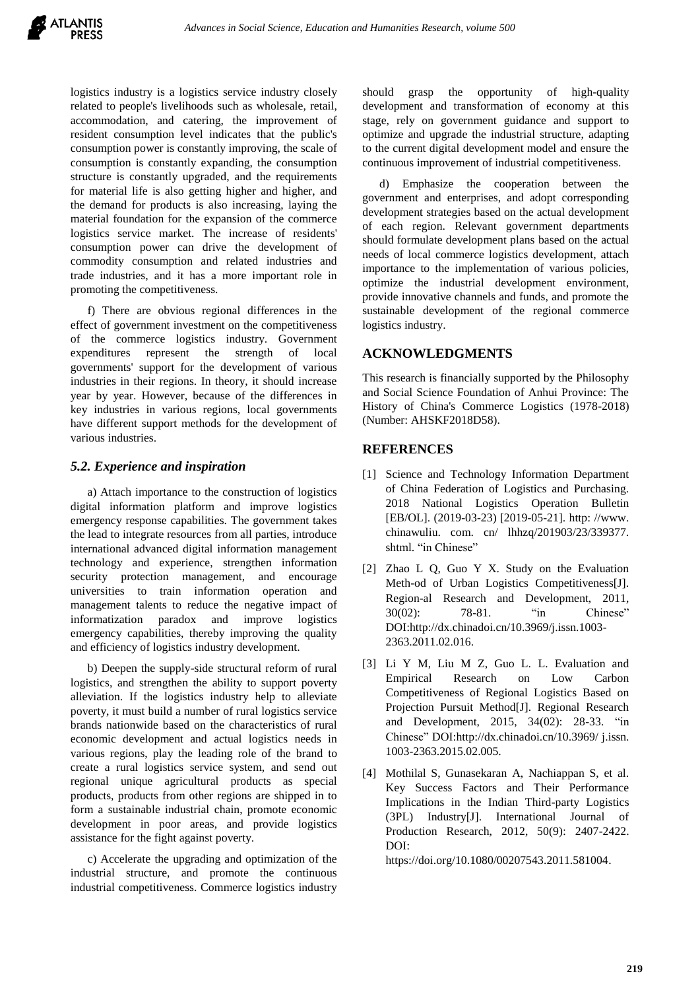logistics industry is a logistics service industry closely related to people's livelihoods such as wholesale, retail, accommodation, and catering, the improvement of resident consumption level indicates that the public's consumption power is constantly improving, the scale of consumption is constantly expanding, the consumption structure is constantly upgraded, and the requirements for material life is also getting higher and higher, and the demand for products is also increasing, laying the material foundation for the expansion of the commerce logistics service market. The increase of residents' consumption power can drive the development of commodity consumption and related industries and trade industries, and it has a more important role in promoting the competitiveness.

f) There are obvious regional differences in the effect of government investment on the competitiveness of the commerce logistics industry. Government expenditures represent the strength of local governments' support for the development of various industries in their regions. In theory, it should increase year by year. However, because of the differences in key industries in various regions, local governments have different support methods for the development of various industries.

# *5.2. Experience and inspiration*

a) Attach importance to the construction of logistics digital information platform and improve logistics emergency response capabilities. The government takes the lead to integrate resources from all parties, introduce international advanced digital information management technology and experience, strengthen information security protection management, and encourage universities to train information operation and management talents to reduce the negative impact of informatization paradox and improve logistics emergency capabilities, thereby improving the quality and efficiency of logistics industry development.

b) Deepen the supply-side structural reform of rural logistics, and strengthen the ability to support poverty alleviation. If the logistics industry help to alleviate poverty, it must build a number of rural logistics service brands nationwide based on the characteristics of rural economic development and actual logistics needs in various regions, play the leading role of the brand to create a rural logistics service system, and send out regional unique agricultural products as special products, products from other regions are shipped in to form a sustainable industrial chain, promote economic development in poor areas, and provide logistics assistance for the fight against poverty.

c) Accelerate the upgrading and optimization of the industrial structure, and promote the continuous industrial competitiveness. Commerce logistics industry

should grasp the opportunity of high-quality development and transformation of economy at this stage, rely on government guidance and support to optimize and upgrade the industrial structure, adapting to the current digital development model and ensure the continuous improvement of industrial competitiveness.

d) Emphasize the cooperation between the government and enterprises, and adopt corresponding development strategies based on the actual development of each region. Relevant government departments should formulate development plans based on the actual needs of local commerce logistics development, attach importance to the implementation of various policies, optimize the industrial development environment, provide innovative channels and funds, and promote the sustainable development of the regional commerce logistics industry.

# **ACKNOWLEDGMENTS**

This research is financially supported by the Philosophy and Social Science Foundation of Anhui Province: The History of China's Commerce Logistics (1978-2018) (Number: AHSKF2018D58).

## **REFERENCES**

- [1] Science and Technology Information Department of China Federation of Logistics and Purchasing. 2018 National Logistics Operation Bulletin [EB/OL]. (2019-03-23) [2019-05-21]. http: //www. chinawuliu. com. cn/ lhhzq/201903/23/339377. shtml. "in Chinese"
- [2] Zhao L Q, Guo Y X. Study on the Evaluation Meth-od of Urban Logistics Competitiveness[J]. Region-al Research and Development, 2011, 30(02): 78-81. "in Chinese" DOI:http://dx.chinadoi.cn/10.3969/j.issn.1003- 2363.2011.02.016.
- [3] Li Y M, Liu M Z, Guo L. L. Evaluation and Empirical Research on Low Carbon Competitiveness of Regional Logistics Based on Projection Pursuit Method[J]. Regional Research and Development, 2015, 34(02): 28-33. "in Chinese" DOI:http://dx.chinadoi.cn/10.3969/ j.issn. 1003-2363.2015.02.005.
- [4] Mothilal S, Gunasekaran A, Nachiappan S, et al. Key Success Factors and Their Performance Implications in the Indian Third-party Logistics (3PL) Industry[J]. International Journal of Production Research, 2012, 50(9): 2407-2422.  $D$  $O$ I $\cdot$

https://doi.org/10.1080/00207543.2011.581004.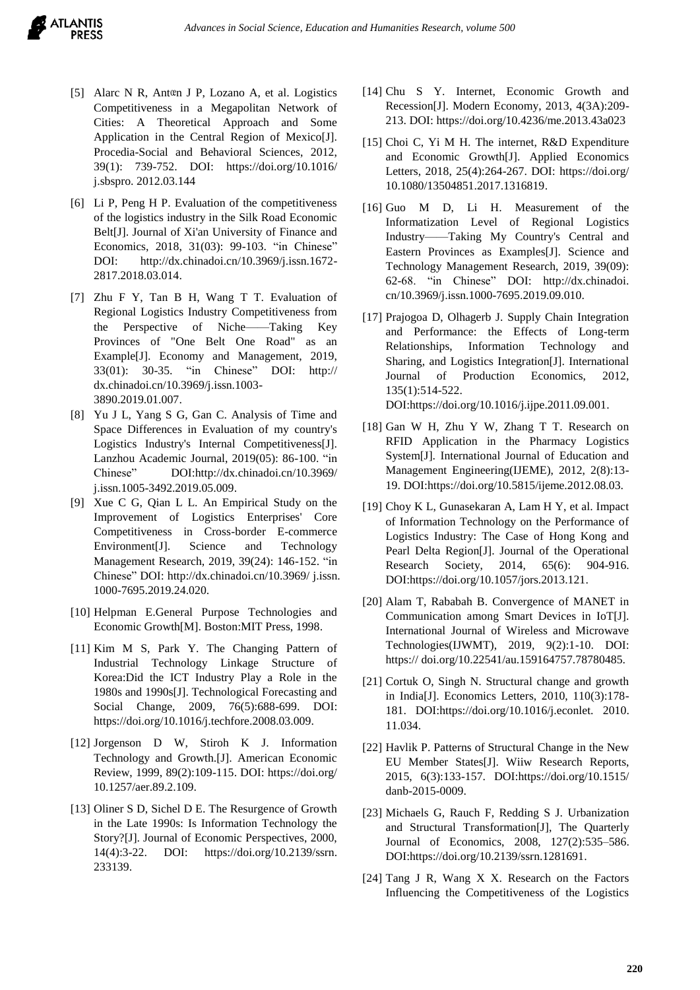- [5] Alarc N R, Antœn J P, Lozano A, et al. Logistics Competitiveness in a Megapolitan Network of Cities: A Theoretical Approach and Some Application in the Central Region of Mexico[J]. Procedia-Social and Behavioral Sciences, 2012, 39(1): 739-752. DOI: <https://doi.org/10.1016/> j.sbspro. 2012.03.144
- [6] Li P, Peng H P. Evaluation of the competitiveness of the logistics industry in the Silk Road Economic Belt[J]. Journal of Xi'an University of Finance and Economics, 2018, 31(03): 99-103. "in Chinese" DOI: http://dx.chinadoi.cn/10.3969/j.issn.1672- 2817.2018.03.014.
- [7] Zhu F Y, Tan B H, Wang T T. Evaluation of Regional Logistics Industry Competitiveness from the Perspective of Niche——Taking Key Provinces of "One Belt One Road" as an Example[J]. Economy and Management, 2019, 33(01): 30-35. "in Chinese" DOI: http:// dx.chinadoi.cn/10.3969/j.issn.1003- 3890.2019.01.007.
- [8] Yu J L, Yang S G, Gan C. Analysis of Time and Space Differences in Evaluation of my country's Logistics Industry's Internal Competitiveness[J]. Lanzhou Academic Journal, 2019(05): 86-100. "in Chinese" DOI:http://dx.chinadoi.cn/10.3969/ j.issn.1005-3492.2019.05.009.
- [9] Xue C G, Qian L L. An Empirical Study on the Improvement of Logistics Enterprises' Core Competitiveness in Cross-border E-commerce Environment[J]. Science and Technology Management Research, 2019, 39(24): 146-152. "in Chinese" DOI: <http://dx.chinadoi.cn/10.3969/> j.issn. 1000-7695.2019.24.020.
- [10] Helpman E.General Purpose Technologies and Economic Growth[M]. Boston:MIT Press, 1998.
- [11] Kim M S, Park Y. The Changing Pattern of Industrial Technology Linkage Structure of Korea:Did the ICT Industry Play a Role in the 1980s and 1990s[J]. Technological Forecasting and Social Change, 2009, 76(5):688-699. DOI: https://doi.org/10.1016/j.techfore.2008.03.009.
- [12] Jorgenson D W, Stiroh K J. Information Technology and Growth.[J]. American Economic Review, 1999, 89(2):109-115. DOI:<https://doi.org/> 10.1257/aer.89.2.109.
- [13] Oliner S D, Sichel D E. The Resurgence of Growth in the Late 1990s: Is Information Technology the Story?[J]. Journal of Economic Perspectives, 2000, 14(4):3-22. DOI: [https://doi.org/10.2139/ssrn.](https://doi.org/10.2139/ssrn) 233139.
- [14] Chu S Y. Internet, Economic Growth and Recession[J]. Modern Economy, 2013, 4(3A):209- 213. DOI: https://doi.org/10.4236/me.2013.43a023
- [15] Choi C, Yi M H. The internet, R&D Expenditure and Economic Growth[J]. Applied Economics Letters, 2018, 25(4):264-267. DOI:<https://doi.org/> 10.1080/13504851.2017.1316819.
- [16] Guo M D, Li H. Measurement of the Informatization Level of Regional Logistics Industry——Taking My Country's Central and Eastern Provinces as Examples[J]. Science and Technology Management Research, 2019, 39(09): 62-68. "in Chinese" DOI: [http://dx.chinadoi.](http://dx.chinadoi/) cn/10.3969/j.issn.1000-7695.2019.09.010.
- [17] Prajogoa D, Olhagerb J. Supply Chain Integration and Performance: the Effects of Long-term Relationships, Information Technology and Sharing, and Logistics Integration[J]. International Journal of Production Economics, 2012, 135(1):514-522. DOI:https://doi.org/10.1016/j.ijpe.2011.09.001.
- [18] Gan W H, Zhu Y W, Zhang T T. Research on RFID Application in the Pharmacy Logistics System[J]. International Journal of Education and Management Engineering(IJEME), 2012, 2(8):13- 19. DOI:https://doi.org/10.5815/ijeme.2012.08.03.
- [19] Choy K L, Gunasekaran A, Lam H Y, et al. Impact of Information Technology on the Performance of Logistics Industry: The Case of Hong Kong and Pearl Delta Region[J]. Journal of the Operational Research Society, 2014, 65(6): 904-916. DOI:https://doi.org/10.1057/jors.2013.121.
- [20] Alam T, Rababah B. Convergence of MANET in Communication among Smart Devices in IoT[J]. International Journal of Wireless and Microwave Technologies(IJWMT), 2019, 9(2):1-10. DOI: https:// doi.org/10.22541/au.159164757.78780485.
- [21] Cortuk O, Singh N. Structural change and growth in India[J]. Economics Letters, 2010, 110(3):178- 181. DOI:https://doi.org/10.1016/j.econlet. 2010. 11.034.
- [22] Havlik P. Patterns of Structural Change in the New EU Member States[J]. Wiiw Research Reports, 2015, 6(3):133-157. DOI:https://doi.org/10.1515/ danb-2015-0009.
- [23] Michaels G, Rauch F, Redding S J. Urbanization and Structural Transformation[J], The Quarterly Journal of Economics, 2008, 127(2):535–586. DOI:https://doi.org/10.2139/ssrn.1281691.
- [24] Tang J R, Wang X X. Research on the Factors Influencing the Competitiveness of the Logistics